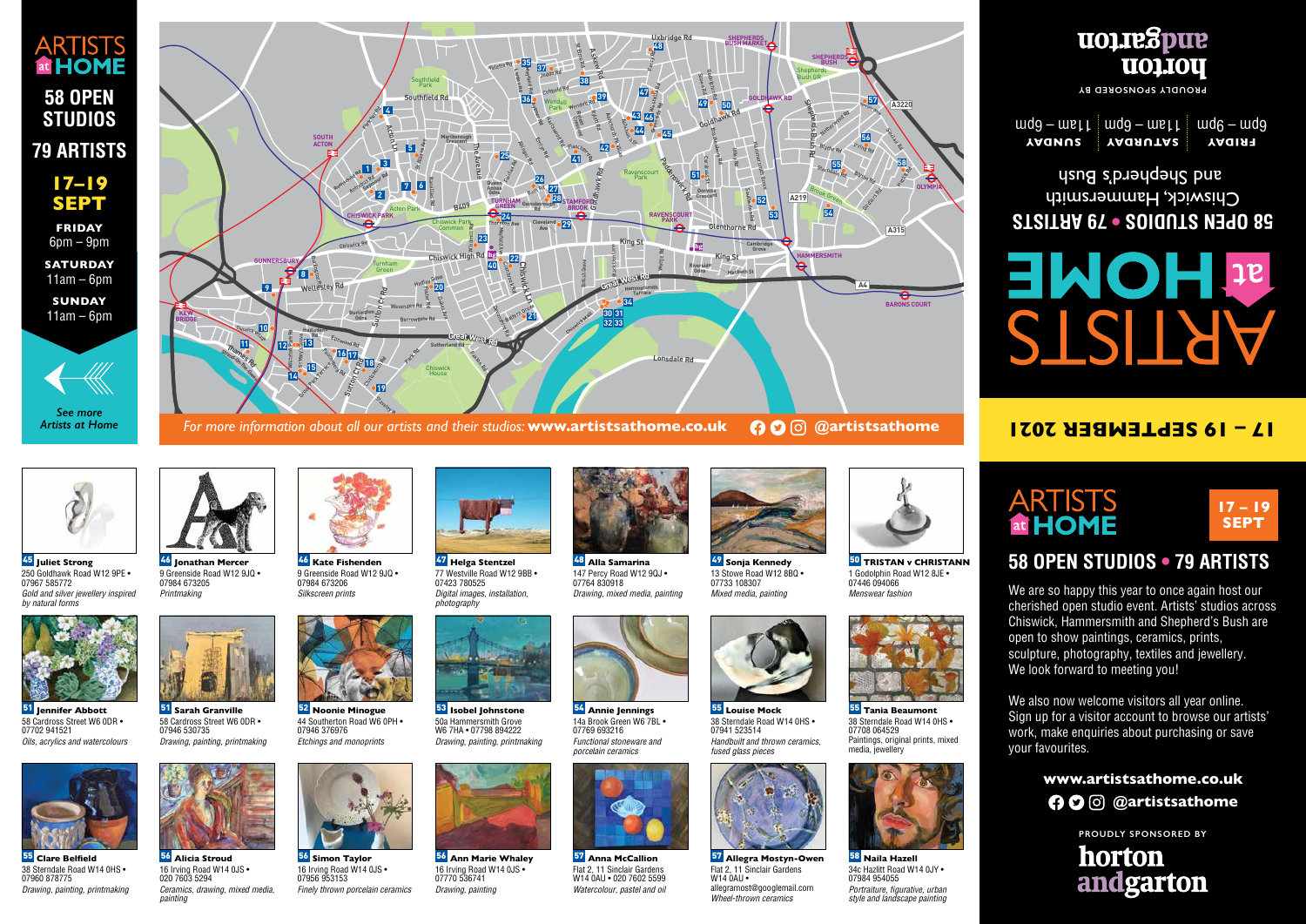*Mixed media, painting*



50 **TRISTAN v CHRISTANN** 1 Godolphin Road W12 8JE • 07446 094066 *Menswear fashion*









47 **Helga Stentzel** 77 Westville Road W12 9BB • 07423 780525 *Digital images, installation, photography*



48 **Alla Samarina** 147 Percy Road W12 9QJ . 07764 830918 *Drawing, mixed media, painting*

16 Irving Road W14 0JS • 020 7603 5294 *Ceramics, drawing, mixed media, painting*











57 **Allegra Mostyn-Owen** Flat 2, 11 Sinclair Gardens

allegramost@googlemail.com *Wheel-thrown ceramics*

 $W140AU$ 



58 **Naila Hazell** 34c Hazlitt Road W14 0JY • 07984 954055 Portraiture, figurative, urban *style and landscape painting*

55 **Clare Belfield** 38 Sterndale Road W14 0HS •

07960 878775

*Drawing, painting, printmaking*



56 **Simon Taylor** 16 Irving Road W14 0JS • 07956 953153 *Finely thrown porcelain ceramics*



56 **Alicia Stroud**



56 **Ann Marie Whaley** 16 Irving Road W14 0JS • 07770 536741 *Drawing, painting*



57 **Anna McCallion** Flat 2, 11 Sinclair Gardens W14 0AU • 020 7602 5599 *Watercolour, pastel and oil*



07702 941521



52 **Noonie Minogue** 44 Southerton Road W6 0PH • 07946 376976 *Etchings and monoprints*



53 **Isobel Johnstone** 50a Hammersmith Grove W6 7HA • 07798 894222 *Drawing, painting, printmaking*



54 **Annie Jennings** 14a Brook Green W6 7BL • 07769 693216 *Functional stoneware and porcelain ceramics*

55 **Tania Beaumont** 38 Sterndale Road W14 0HS • 07708 064529 Paintings, original prints, mixed media, jewellery

55 **Louise Mock** 38 Sterndale Road W14 0HS •

Handbuilt and thrown ceramics,

07941 523514

*fused glass pieces* 

# **ARTISTS 58 OPEN STUDIOS 79 ARTISTS**

**FRIDAY**   $6$ pm –  $9$ pm

> We are so happy this year to once again host our cherished open studio event. Artists' studios across Chiswick, Hammersmith and Shepherd's Bush are open to show paintings, ceramics, prints, sculpture, photography, textiles and jewellery. We look forward to meeting you!

> > **www.artistsathome.co.uk A**  $\Omega$   $\odot$   $\odot$   $\omega$ artistsathome

#### **79 ARTISTS • 58 OPEN STUDIOS**  Chiswick, Hammersmith usng spueudeus pue





45 **Juliet Strong** 250 Goldhawk Road W12 9PE • 07967 585772 Gold and silver jewellery inspired by natural for



For more information about all our artists and their studios: www.artistsathome.co.uk  $\bigcirc \mathbf{O}\bigcirc \mathbf{Q}$ artistsathome



*See more Artists at Home*

**17–19 SEPT**

**SATURDAY**   $11am - 6pm$ **SUNDAY** 

 $11am - 6pm$ 

### **58 OPEN STUDIOS • 79 ARTISTS**

We also now welcome visitors all year online. Sign up for a visitor account to browse our artists' work, make enquiries about purchasing or save your favourites.

**FRIDAY**   $\operatorname{\mathsf{udg}} - \operatorname{\mathsf{uer}}$   $\mathsf{L} \models \operatorname{\mathsf{udg}} - \operatorname{\mathsf{udg}}$ **SATURDAY SUNDAY** 

**PROUDLY SPONSORED BY**

### **17 – 19 SEPTEMBER 2021**

## **ARTISTS** at HOME

**PROUDLY SPONSORED BY**

### horton andgarton